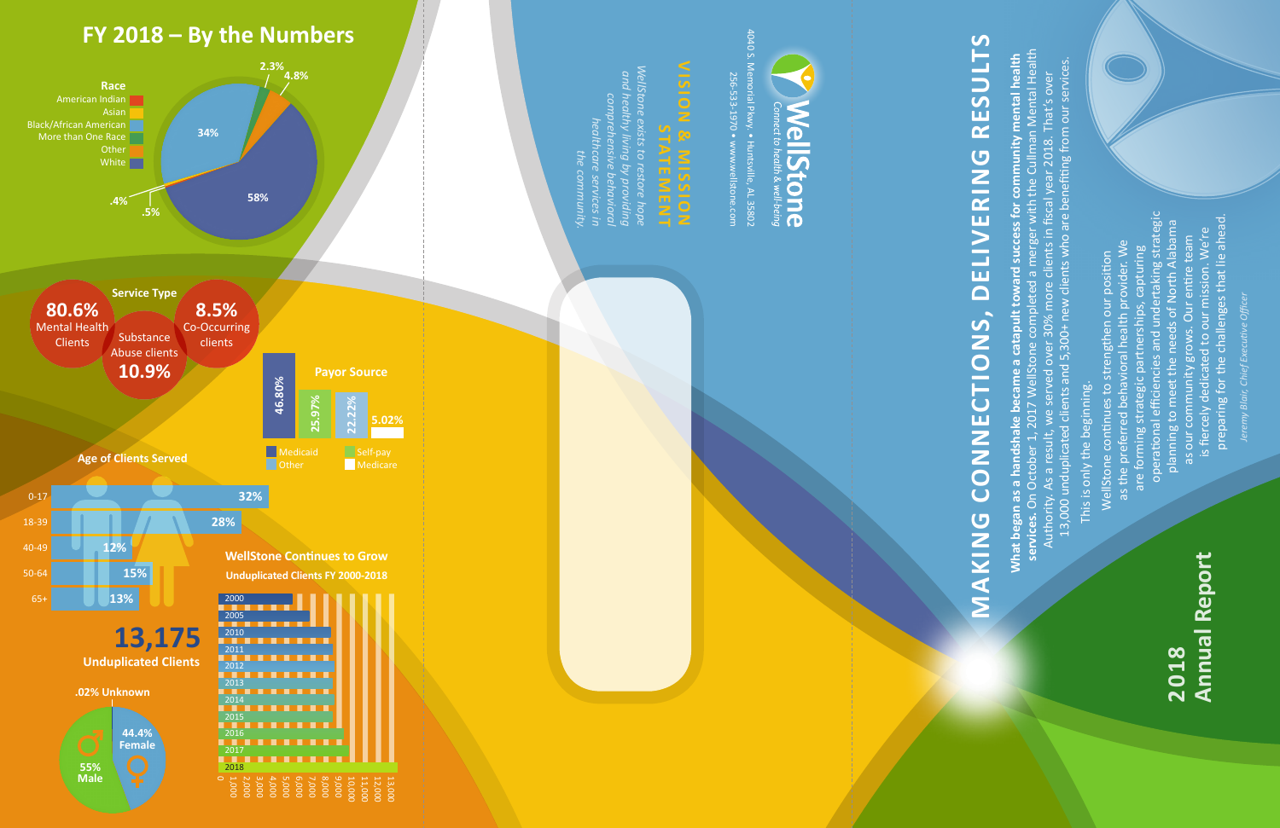## **Annual Report Annual Report 2018**

# MAKING CONNECTIONS, DELIVERING RESULTS **MAKING CONNECTIONS, DELIVERING RESULTS**

4040 S. 4040 S. Memorial Pkwy. • Huntsville, AL 35802 256-533-1970 • www.wellstone.com

*WellStone exists to restore hope*  NellStone exists to restore hop *and healthy living by providing*  and healthy living by providing comprehensive behaviora *comprehensive behavioral healthcare services in*  пеантсате the communit<sub>)</sub> *the community.*

# **VISION & MISSION SIGN STATEMENT**



# tone

This is only the beginning. This is only the beginning.

operational efficiencies and undertaking strategic operational efficiencies and undertaking strategic preparing for the challenges that lie ahead. planning to meet the needs of North Alabama preparing for the challenges that lie ahead planning to meet the needs of North Alabama is fiercely dedicated to our mission. We're is fiercely dedicated to our mission. We're as our community grows. Our entire team as our community grows. Our entire team as the preferred behavioral health provider. We as the preferred behavioral health provider. We are forming strategic partnerships, capturing are forming strategic partnerships, capturing WellStone continues to strengthen our position WellStone continues to strengthen our position

**services.** On October 1, 2017 WellStone completed a merger with the Cullman Mental Health What began as a handshake became a catapult toward success for community mental health<br>services. On October 1, 2017 WellStone completed a merger with the Cullman Mental Health<br>Authority. As a result, we served over 30% mor **What began as a handshake became a catapult toward success for community mental health**  13,000 unduplicated clients and 5,300+ new clients who are benefiting from our services. Authority. As a result, we served over 30% more clients in fiscal year 2018. That's over

*Jeremy Blair, Chief Executive Officer*